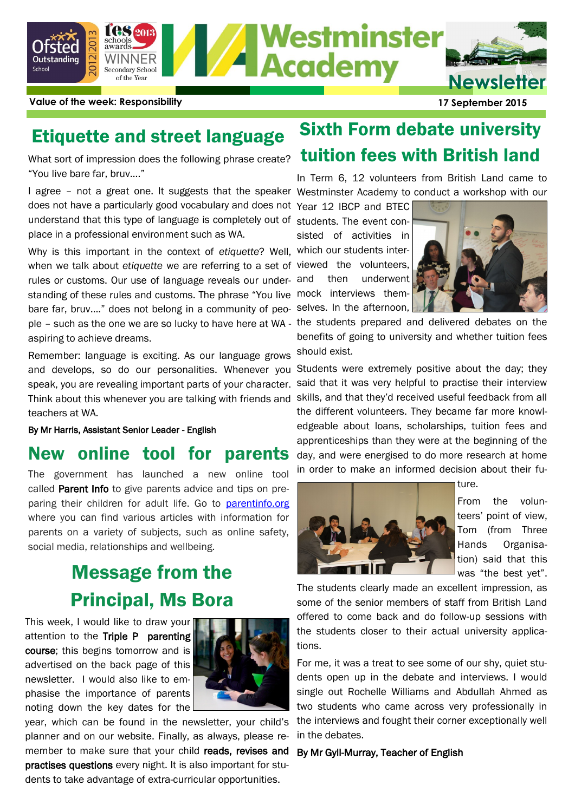

**Value of the week: Responsibility 17 September 2015**

"You live bare far, bruv…."

I agree - not a great one. It suggests that the speaker Westminster Academy to conduct a workshop with our does not have a particularly good vocabulary and does not Year 12 IBCP and BTEC understand that this type of language is completely out of students. The event conplace in a professional environment such as WA.

Why is this important in the context of *etiquette*? Well, which our students interwhen we talk about *etiquette* we are referring to a set of rules or customs. Our use of language reveals our understanding of these rules and customs. The phrase "You live bare far, bruv…." does not belong in a community of people – such as the one we are so lucky to have here at WA aspiring to achieve dreams.

Remember: language is exciting. As our language grows and develops, so do our personalities. Whenever you speak, you are revealing important parts of your character. Think about this whenever you are talking with friends and teachers at WA.

By Mr Harris, Assistant Senior Leader - English

### New online tool for parents

The government has launched a new online tool called [Parent Info](http://ascl.us7.list-manage.com/track/click?u=dae6fbf66d6135a8a21b3627d&id=f74d983ab0&e=46d0acd688) to give parents advice and tips on preparing their children for adult life. Go to [parentinfo.org](http://parentinfo.org/) where you can find various articles with information for parents on a variety of subjects, such as online safety, social media, relationships and wellbeing.

# Message from the Principal, Ms Bora

This week, I would like to draw your attention to the Triple P parenting course; this begins tomorrow and is advertised on the back page of this newsletter. I would also like to emphasise the importance of parents noting down the key dates for the



year, which can be found in the newsletter, your child's planner and on our website. Finally, as always, please remember to make sure that your child reads, revises and practises questions every night. It is also important for students to take advantage of extra-curricular opportunities.

# Etiquette and street language Sixth Form debate university What sort of impression does the following phrase create? **tuition fees with British land**

In Term 6, 12 volunteers from British Land came to

sisted of activities in viewed the volunteers, then underwent mock interviews themselves. In the afternoon,



the students prepared and delivered debates on the benefits of going to university and whether tuition fees should exist.

Students were extremely positive about the day; they said that it was very helpful to practise their interview skills, and that they'd received useful feedback from all the different volunteers. They became far more knowledgeable about loans, scholarships, tuition fees and apprenticeships than they were at the beginning of the day, and were energised to do more research at home in order to make an informed decision about their fu-



ture.

From the volunteers' point of view, Tom (from Three Hands Organisation) said that this was "the best yet".

The students clearly made an excellent impression, as some of the senior members of staff from British Land offered to come back and do follow-up sessions with the students closer to their actual university applications.

For me, it was a treat to see some of our shy, quiet students open up in the debate and interviews. I would single out Rochelle Williams and Abdullah Ahmed as two students who came across very professionally in the interviews and fought their corner exceptionally well in the debates.

#### By Mr Gyll-Murray, Teacher of English